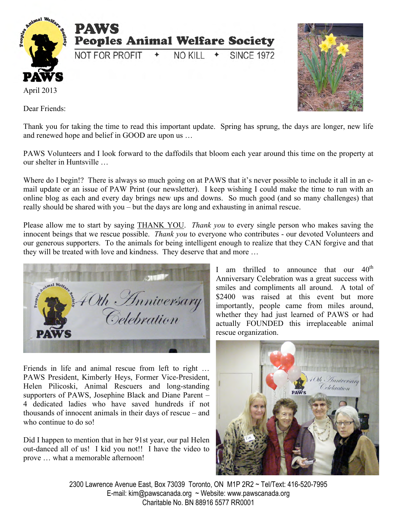

Dear Friends:



Thank you for taking the time to read this important update. Spring has sprung, the days are longer, new life and renewed hope and belief in GOOD are upon us …

PAWS Volunteers and I look forward to the daffodils that bloom each year around this time on the property at our shelter in Huntsville …

Where do I begin!? There is always so much going on at PAWS that it's never possible to include it all in an email update or an issue of PAW Print (our newsletter). I keep wishing I could make the time to run with an online blog as each and every day brings new ups and downs. So much good (and so many challenges) that really should be shared with you – but the days are long and exhausting in animal rescue.

Please allow me to start by saying THANK YOU. *Thank you* to every single person who makes saving the innocent beings that we rescue possible. *Thank you* to everyone who contributes - our devoted Volunteers and our generous supporters. To the animals for being intelligent enough to realize that they CAN forgive and that they will be treated with love and kindness. They deserve that and more …



Friends in life and animal rescue from left to right … PAWS President, Kimberly Heys, Former Vice-President, Helen Pilicoski, Animal Rescuers and long-standing supporters of PAWS, Josephine Black and Diane Parent – 4 dedicated ladies who have saved hundreds if not thousands of innocent animals in their days of rescue – and who continue to do so!

Did I happen to mention that in her 91st year, our pal Helen out-danced all of us! I kid you not!! I have the video to prove … what a memorable afternoon!

I am thrilled to announce that our  $40<sup>th</sup>$ Anniversary Celebration was a great success with smiles and compliments all around. A total of \$2400 was raised at this event but more importantly, people came from miles around, whether they had just learned of PAWS or had actually FOUNDED this irreplaceable animal rescue organization.



2300 Lawrence Avenue East, Box 73039 Toronto, ON M1P 2R2 ~ Tel/Text: 416-520-7995 E-mail: kim@pawscanada.org ~ Website: www.pawscanada.org Charitable No. BN 88916 5577 RR0001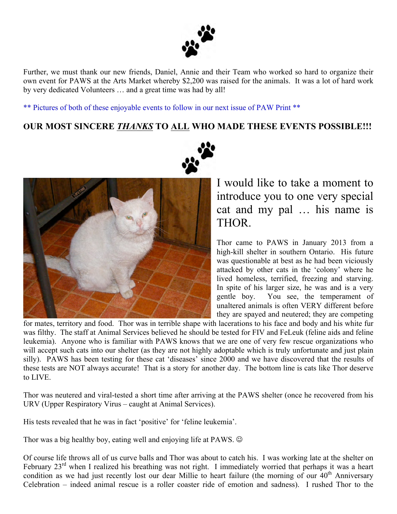

Further, we must thank our new friends, Daniel, Annie and their Team who worked so hard to organize their own event for PAWS at the Arts Market whereby \$2,200 was raised for the animals. It was a lot of hard work by very dedicated Volunteers … and a great time was had by all!

\*\* Pictures of both of these enjoyable events to follow in our next issue of PAW Print \*\*

### **OUR MOST SINCERE** *THANKS* **TO ALL WHO MADE THESE EVENTS POSSIBLE!!!**



I would like to take a moment to introduce you to one very special cat and my pal … his name is THOR.

Thor came to PAWS in January 2013 from a high-kill shelter in southern Ontario. His future was questionable at best as he had been viciously attacked by other cats in the 'colony' where he lived homeless, terrified, freezing and starving. In spite of his larger size, he was and is a very gentle boy. You see, the temperament of unaltered animals is often VERY different before they are spayed and neutered; they are competing

for mates, territory and food. Thor was in terrible shape with lacerations to his face and body and his white fur was filthy. The staff at Animal Services believed he should be tested for FIV and FeLeuk (feline aids and feline leukemia). Anyone who is familiar with PAWS knows that we are one of very few rescue organizations who will accept such cats into our shelter (as they are not highly adoptable which is truly unfortunate and just plain silly). PAWS has been testing for these cat 'diseases' since 2000 and we have discovered that the results of these tests are NOT always accurate! That is a story for another day. The bottom line is cats like Thor deserve to LIVE.

Thor was neutered and viral-tested a short time after arriving at the PAWS shelter (once he recovered from his URV (Upper Respiratory Virus – caught at Animal Services).

His tests revealed that he was in fact 'positive' for 'feline leukemia'.

Thor was a big healthy boy, eating well and enjoying life at PAWS.  $\odot$ 

Of course life throws all of us curve balls and Thor was about to catch his. I was working late at the shelter on February 23<sup>rd</sup> when I realized his breathing was not right. I immediately worried that perhaps it was a heart condition as we had just recently lost our dear Millie to heart failure (the morning of our  $40<sup>th</sup>$  Anniversary Celebration – indeed animal rescue is a roller coaster ride of emotion and sadness). I rushed Thor to the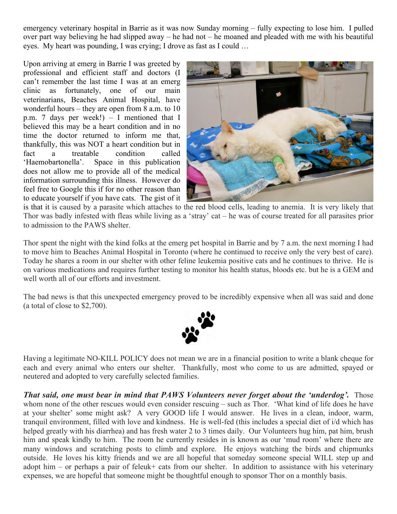emergency veterinary hospital in Barrie as it was now Sunday morning – fully expecting to lose him. I pulled over part way believing he had slipped away – he had not – he moaned and pleaded with me with his beautiful eyes. My heart was pounding, I was crying; I drove as fast as I could …

Upon arriving at emerg in Barrie I was greeted by professional and efficient staff and doctors (I can't remember the last time I was at an emerg clinic as fortunately, one of our main veterinarians, Beaches Animal Hospital, have wonderful hours – they are open from 8 a.m. to 10 p.m. 7 days per week!) – I mentioned that I believed this may be a heart condition and in no time the doctor returned to inform me that, thankfully, this was NOT a heart condition but in fact a treatable condition called 'Haemobartonella'. Space in this publication does not allow me to provide all of the medical information surrounding this illness. However do feel free to Google this if for no other reason than to educate yourself if you have cats. The gist of it



is that it is caused by a parasite which attaches to the red blood cells, leading to anemia. It is very likely that Thor was badly infested with fleas while living as a 'stray' cat – he was of course treated for all parasites prior to admission to the PAWS shelter.

Thor spent the night with the kind folks at the emerg pet hospital in Barrie and by 7 a.m. the next morning I had to move him to Beaches Animal Hospital in Toronto (where he continued to receive only the very best of care). Today he shares a room in our shelter with other feline leukemia positive cats and he continues to thrive. He is on various medications and requires further testing to monitor his health status, bloods etc. but he is a GEM and well worth all of our efforts and investment.

The bad news is that this unexpected emergency proved to be incredibly expensive when all was said and done (a total of close to \$2,700).



Having a legitimate NO-KILL POLICY does not mean we are in a financial position to write a blank cheque for each and every animal who enters our shelter. Thankfully, most who come to us are admitted, spayed or neutered and adopted to very carefully selected families.

*That said, one must bear in mind that PAWS Volunteers never forget about the 'underdog'.* Those whom none of the other rescues would even consider rescuing – such as Thor. 'What kind of life does he have at your shelter' some might ask? A very GOOD life I would answer. He lives in a clean, indoor, warm, tranquil environment, filled with love and kindness. He is well-fed (this includes a special diet of i/d which has helped greatly with his diarrhea) and has fresh water 2 to 3 times daily. Our Volunteers hug him, pat him, brush him and speak kindly to him. The room he currently resides in is known as our 'mud room' where there are many windows and scratching posts to climb and explore. He enjoys watching the birds and chipmunks outside. He loves his kitty friends and we are all hopeful that someday someone special WILL step up and adopt him – or perhaps a pair of feleuk+ cats from our shelter. In addition to assistance with his veterinary expenses, we are hopeful that someone might be thoughtful enough to sponsor Thor on a monthly basis.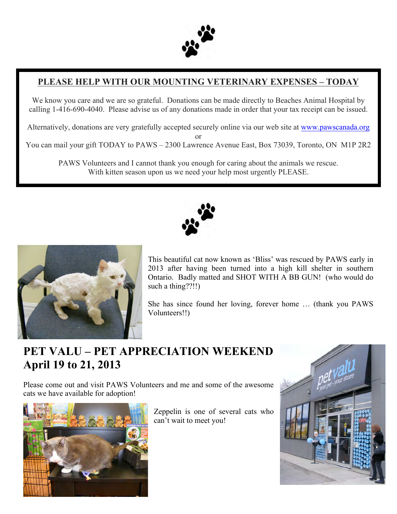

## **PLEASE HELP WITH OUR MOUNTING VETERINARY EXPENSES – TODAY**

We know you care and we are so grateful. Donations can be made directly to Beaches Animal Hospital by calling 1-416-690-4040. Please advise us of any donations made in order that your tax receipt can be issued.

Alternatively, donations are very gratefully accepted securely online via our web site at www.pawscanada.org or

You can mail your gift TODAY to PAWS – 2300 Lawrence Avenue East, Box 73039, Toronto, ON M1P 2R2

PAWS Volunteers and I cannot thank you enough for caring about the animals we rescue. With kitten season upon us we need your help most urgently PLEASE.





This beautiful cat now known as 'Bliss' was rescued by PAWS early in 2013 after having been turned into a high kill shelter in southern Ontario. Badly matted and SHOT WITH A BB GUN! (who would do such a thing??!!)

She has since found her loving, forever home … (thank you PAWS Volunteers!!)

# **PET VALU – PET APPRECIATION WEEKEND April 19 to 21, 2013**

Please come out and visit PAWS Volunteers and me and some of the awesome cats we have available for adoption!



Zeppelin is one of several cats who can't wait to meet you!

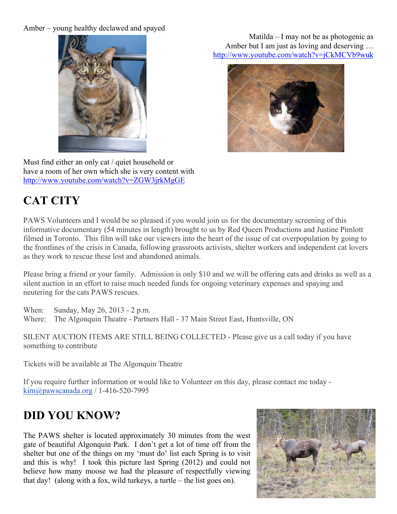#### Amber – young healthy declawed and spayed



Must find either an only cat / quiet household or have a room of her own which she is very content with http://www.youtube.com/watch?v=ZGW3jrkMgGE

# **CAT CITY**

PAWS Volunteers and I would be so pleased if you would join us for the documentary screening of this informative documentary (54 minutes in length) brought to us by Red Queen Productions and Justine Pimlott filmed in Toronto. This film will take our viewers into the heart of the issue of cat overpopulation by going to the frontlines of the crisis in Canada, following grassroots activists, shelter workers and independent cat lovers as they work to rescue these lost and abandoned animals.

Please bring a friend or your family. Admission is only \$10 and we will be offering eats and drinks as well as a silent auction in an effort to raise much needed funds for ongoing veterinary expenses and spaying and neutering for the cats PAWS rescues.

When: Sunday, May 26, 2013 - 2 p.m. Where: The Algonquin Theatre - Partners Hall - 37 Main Street East, Huntsville, ON

SILENT AUCTION ITEMS ARE STILL BEING COLLECTED - Please give us a call today if you have something to contribute

Tickets will be available at The Algonquin Theatre

If you require further information or would like to Volunteer on this day, please contact me today kim@pawscanada.org / 1-416-520-7995

# **DID YOU KNOW?**

The PAWS shelter is located approximately 30 minutes from the west gate of beautiful Algonquin Park. I don't get a lot of time off from the shelter but one of the things on my 'must do' list each Spring is to visit and this is why! I took this picture last Spring (2012) and could not believe how many moose we had the pleasure of respectfully viewing that day! (along with a fox, wild turkeys, a turtle – the list goes on).



Matilda – I may not be as photogenic as Amber but I am just as loving and deserving … http://www.youtube.com/watch?v=jCkMCVb9wuk